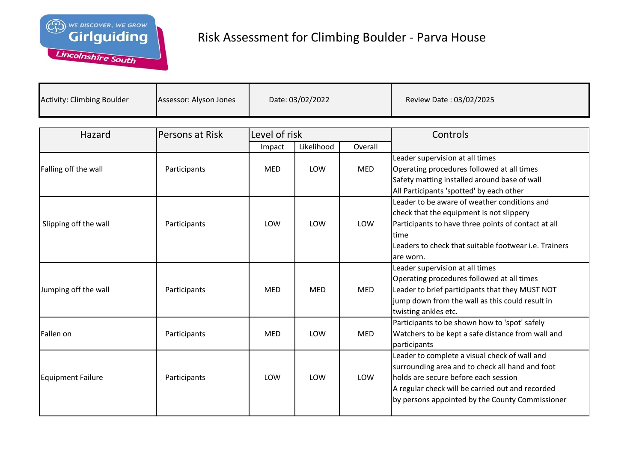

| <b>Activity: Climbing Boulder</b><br>Assessor: Alyson Jones | Date: 03/02/2022 | Review Date: 03/02/2025 |
|-------------------------------------------------------------|------------------|-------------------------|
|-------------------------------------------------------------|------------------|-------------------------|

| Hazard                   | Persons at Risk | Level of risk |            |            | Controls                                                                                                                                                                                                                                        |
|--------------------------|-----------------|---------------|------------|------------|-------------------------------------------------------------------------------------------------------------------------------------------------------------------------------------------------------------------------------------------------|
|                          |                 | Impact        | Likelihood | Overall    |                                                                                                                                                                                                                                                 |
| Falling off the wall     | Participants    | <b>MED</b>    | LOW        | <b>MED</b> | Leader supervision at all times<br>Operating procedures followed at all times<br>Safety matting installed around base of wall<br>All Participants 'spotted' by each other                                                                       |
| Slipping off the wall    | Participants    | LOW           | LOW        | LOW        | Leader to be aware of weather conditions and<br>check that the equipment is not slippery<br>Participants to have three points of contact at all<br>ltime<br>Leaders to check that suitable footwear <i>i.e.</i> Trainers<br>are worn.           |
| Jumping off the wall     | Participants    | <b>MED</b>    | <b>MED</b> | <b>MED</b> | Leader supervision at all times<br>Operating procedures followed at all times<br>Leader to brief participants that they MUST NOT<br>jump down from the wall as this could result in<br>twisting ankles etc.                                     |
| Fallen on                | Participants    | <b>MED</b>    | LOW        | <b>MED</b> | Participants to be shown how to 'spot' safely<br>Watchers to be kept a safe distance from wall and<br>participants                                                                                                                              |
| <b>Equipment Failure</b> | Participants    | LOW           | LOW        | LOW        | Leader to complete a visual check of wall and<br>surrounding area and to check all hand and foot<br>holds are secure before each session<br>A regular check will be carried out and recorded<br>by persons appointed by the County Commissioner |